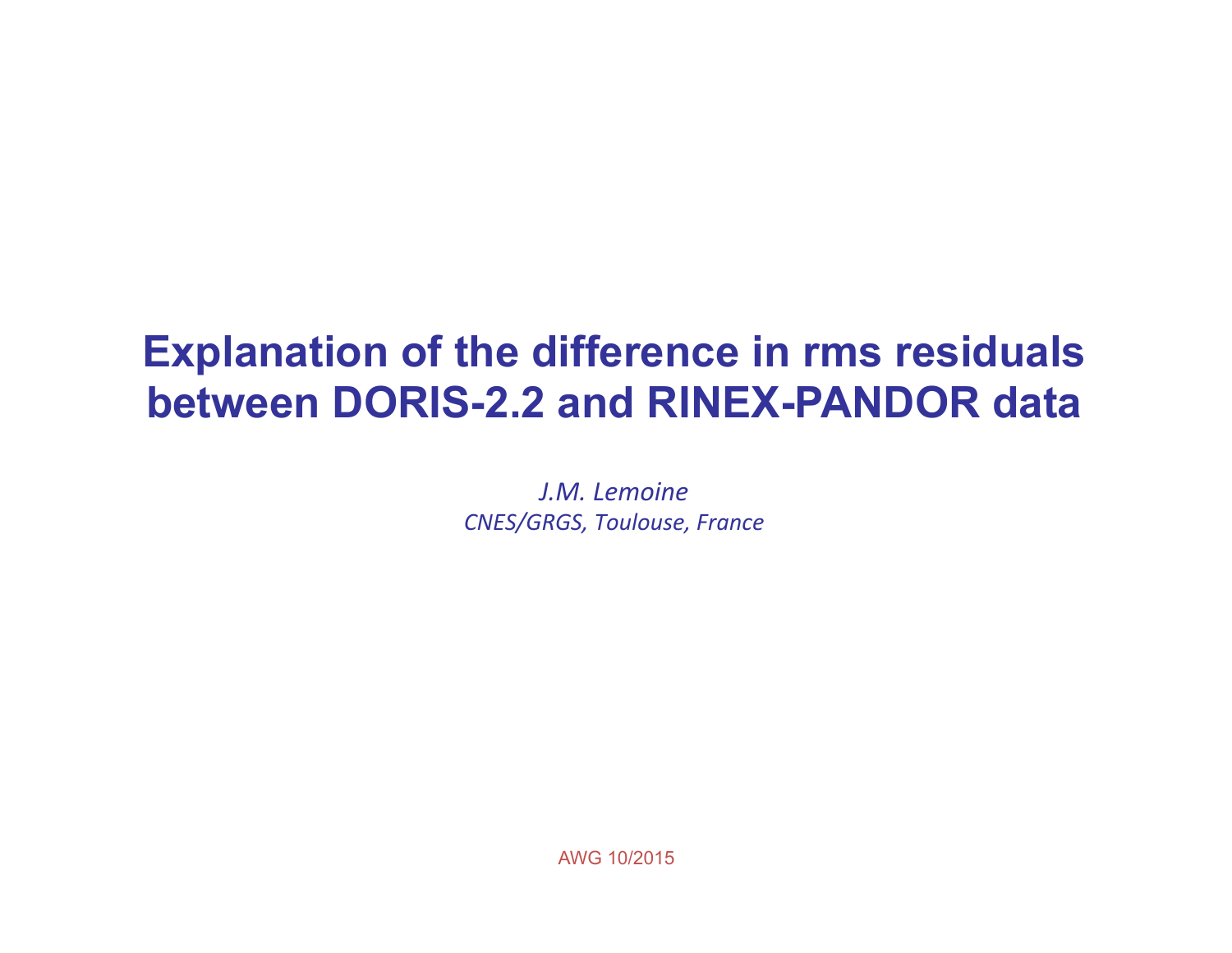# **Explanation of the difference in rms residuals between DORIS-2.2 and RINEX-PANDOR data**

*J.M. Lemoine CNES/GRGS, Toulouse, France*

AWG 10/2015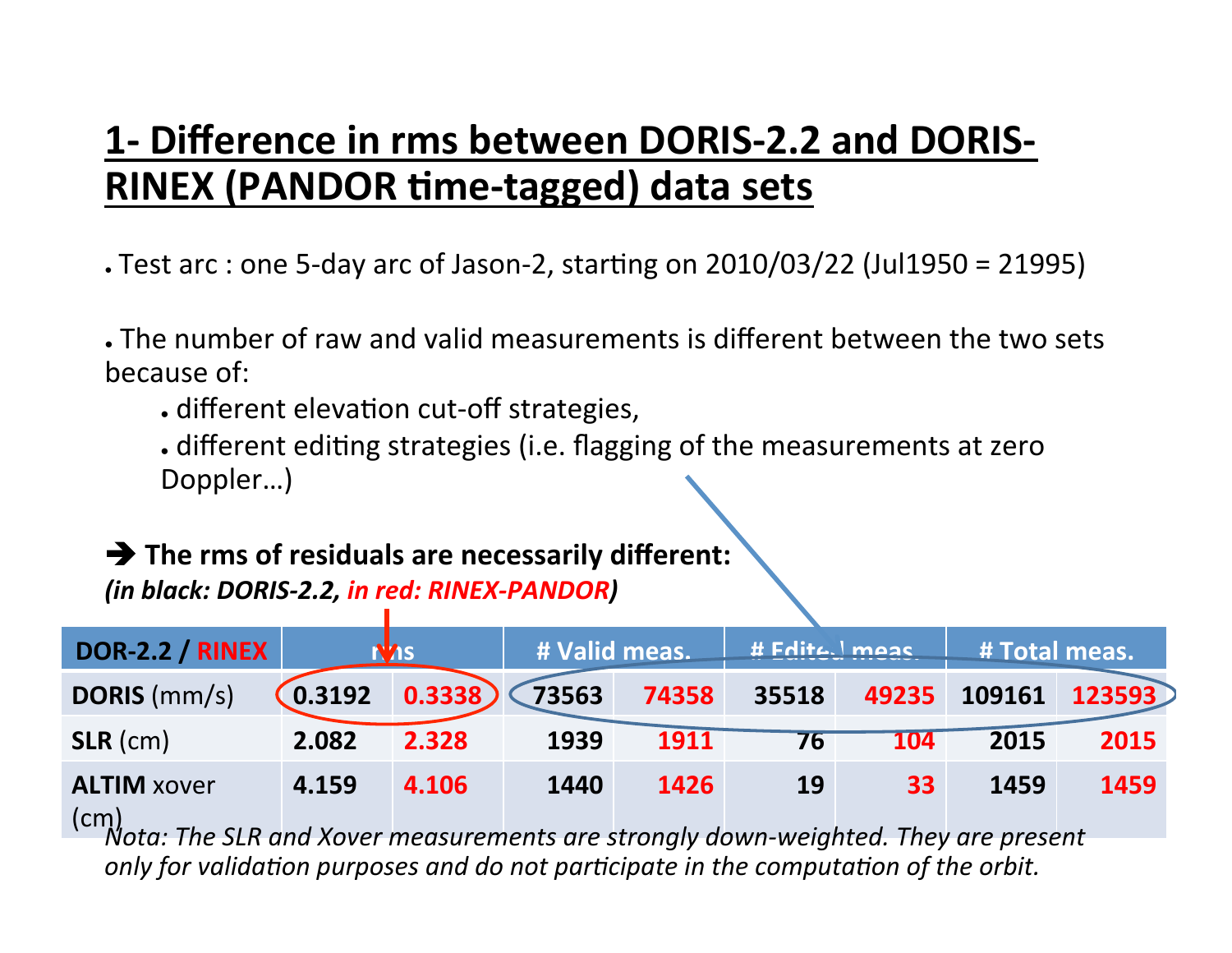### **1- Difference in rms between DORIS-2.2 and DORIS-RINEX (PANDOR time-tagged) data sets**

- $\cdot$  Test arc : one 5-day arc of Jason-2, starting on 2010/03/22 (Jul1950 = 21995)
- The number of raw and valid measurements is different between the two sets because of:
	- different elevation cut-off strategies,
	- . different editing strategies (i.e. flagging of the measurements at zero Doppler...)

#### $\rightarrow$  The rms of residuals are necessarily different:

*(in black: DORIS-2.2, in red: RINEX-PANDOR)*

| DOR-2.2 / RINEX                                                                                                                                                                                                                                                                                                                                                                                      |        | <b>N<sub>AS</sub></b> | # Valid meas. |       | <b># Fdite.</b> meas |       | # Total meas. |        |
|------------------------------------------------------------------------------------------------------------------------------------------------------------------------------------------------------------------------------------------------------------------------------------------------------------------------------------------------------------------------------------------------------|--------|-----------------------|---------------|-------|----------------------|-------|---------------|--------|
| <b>DORIS</b> (mm/s)                                                                                                                                                                                                                                                                                                                                                                                  | 0.3192 | 0.3338                | 73563         | 74358 | 35518                | 49235 | 109161        | 123593 |
| $SLR$ (cm)                                                                                                                                                                                                                                                                                                                                                                                           | 2.082  | 2.328                 | 1939          | 1911  | 76                   | 104   | 2015          | 2015   |
| <b>ALTIM xover</b><br>$\mathsf{(cm)}$<br>$\tau$ , $\sigma$ , $\sigma$ , $\sigma$ , $\sigma$ , $\sigma$ , $\sigma$ , $\sigma$ , $\sigma$ , $\sigma$ , $\sigma$ , $\sigma$ , $\sigma$ , $\sigma$ , $\sigma$ , $\sigma$ , $\sigma$ , $\sigma$ , $\sigma$ , $\sigma$ , $\sigma$ , $\sigma$ , $\sigma$ , $\sigma$ , $\sigma$ , $\sigma$ , $\sigma$ , $\sigma$ , $\sigma$ , $\sigma$ , $\sigma$ , $\sigma$ | 4.159  | 4.106                 | 1440          | 1426  | 19                   | 33    | 1459          | 1459   |

 $\dot$ Nota: The SLR and Xover measurements are strongly down-weighted. They are present *only for validation purposes and do not participate in the computation of the orbit.*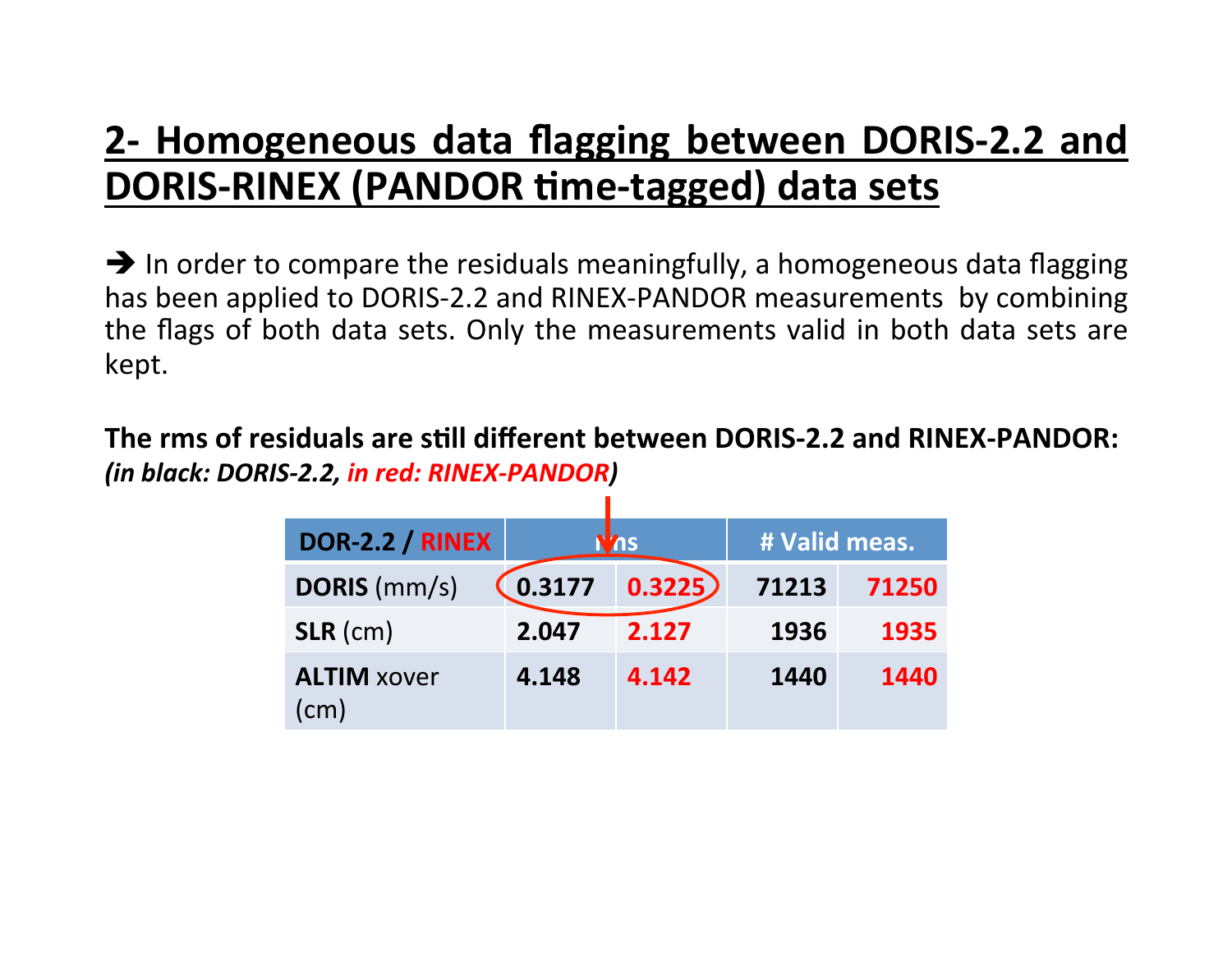#### **2- Homogeneous data flagging between DORIS-2.2 and DORIS-RINEX (PANDOR time-tagged) data sets**

 $\rightarrow$  In order to compare the residuals meaningfully, a homogeneous data flagging has been applied to DORIS-2.2 and RINEX-PANDOR measurements by combining the flags of both data sets. Only the measurements valid in both data sets are kept.

The rms of residuals are still different between DORIS-2.2 and RINEX-PANDOR: *(in black: DORIS-2.2, in red: RINEX-PANDOR)*

| <b>DOR-2.2 / RINEX</b>     |        | <b>ns</b> | # Valid meas. |       |  |
|----------------------------|--------|-----------|---------------|-------|--|
| <b>DORIS</b> (mm/s)        | 0.3177 | 0.3225)   | 71213         | 71250 |  |
| $SLR$ (cm)                 | 2.047  | 2.127     | 1936          | 1935  |  |
| <b>ALTIM xover</b><br>(cm) | 4.148  | 4.142     | 1440          | 1440  |  |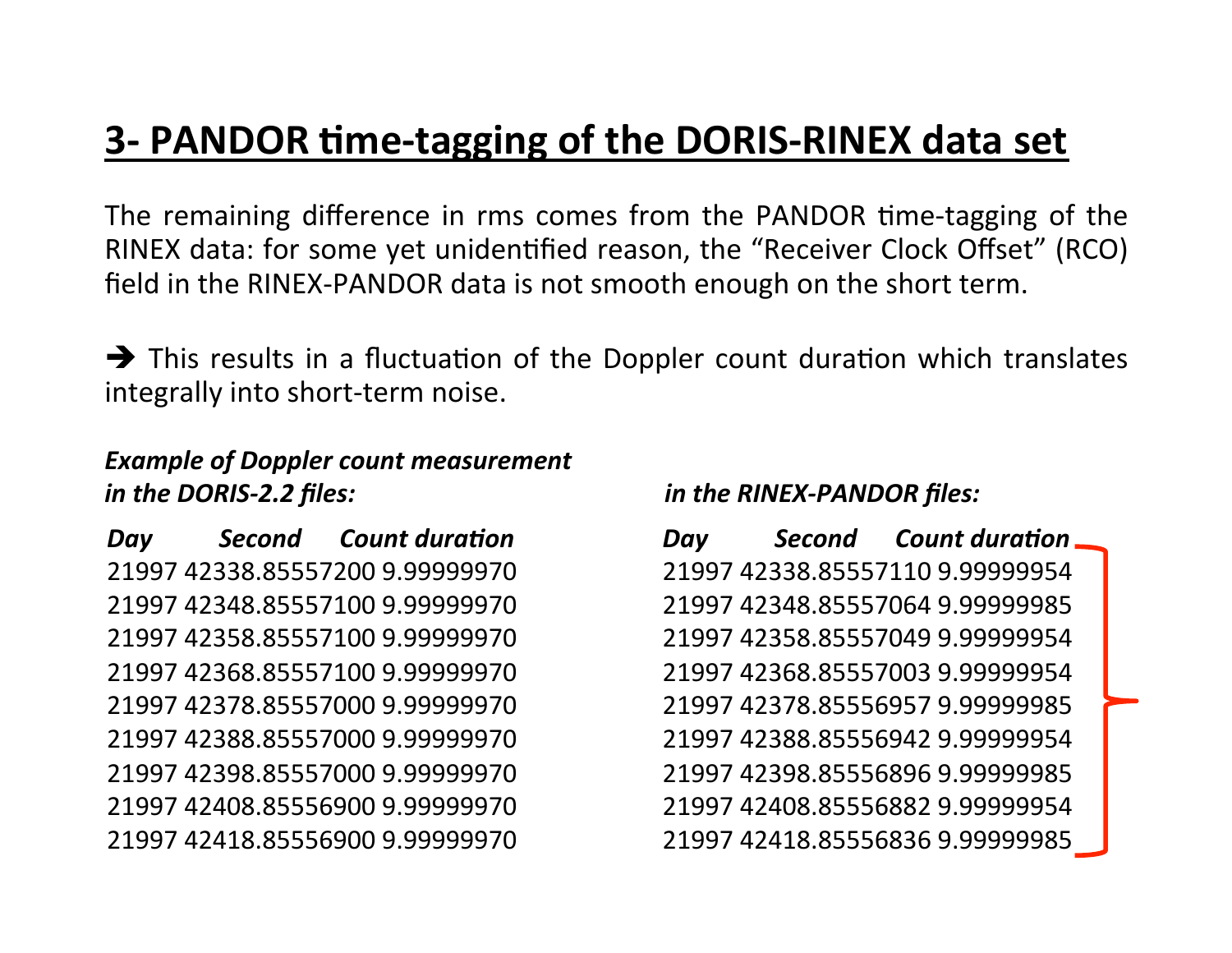#### **3- PANDOR time-tagging of the DORIS-RINEX data set**

The remaining difference in rms comes from the PANDOR time-tagging of the RINEX data: for some yet unidentified reason, the "Receiver Clock Offset" (RCO) field in the RINEX-PANDOR data is not smooth enough on the short term.

 $\rightarrow$  This results in a fluctuation of the Doppler count duration which translates integrally into short-term noise.

#### *Example of Doppler count measurement in the DORIS-2.2 files: in the RINEX-PANDOR files:*

*Day* **Second Count duration** 21997 42338.85557200 9.99999970 21997 42348.85557100 9.99999970 21997 42358.85557100 9.99999970 21997 42368.85557100 9.99999970 21997 42378.85557000 9.99999970 21997 42388.85557000 9.99999970 21997 42398.85557000 9.99999970 21997 42408.85556900 9.99999970 21997 42418.85556900 9.99999970 

*Day* **Second Count duration** 21997 42338.85557110 9.99999954 21997 42348.85557064 9.99999985 21997 42358.85557049 9.99999954 21997 42368.85557003 9.99999954 21997 42378.85556957 9.99999985 21997 42388.85556942 9.99999954 21997 42398.85556896 9.99999985 21997 42408.85556882 9.99999954 21997 42418.85556836 9.99999985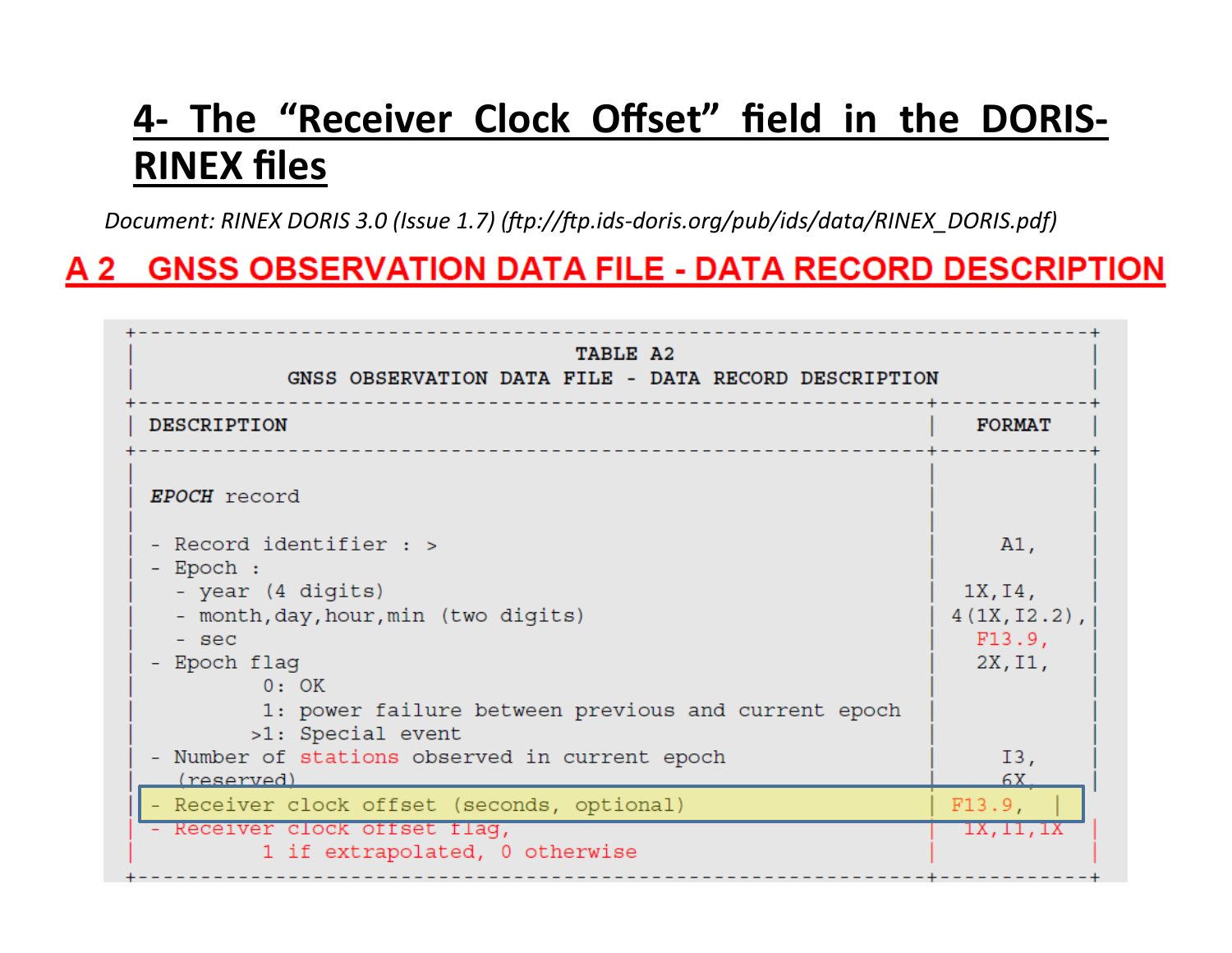#### 4- The "Receiver Clock Offset" field in the DORIS-**RINEX files**

*Document: RINEX DORIS 3.0 (Issue 1.7) (ftp://ftp.ids-doris.org/pub/ids/data/RINEX\_DORIS.pdf)* 

#### A 2 GNSS OBSERVATION DATA FILE - DATA RECORD DESCRIPTION

| TABLE A2<br>GNSS OBSERVATION DATA FILE - DATA RECORD DESCRIPTION         |                            |
|--------------------------------------------------------------------------|----------------------------|
| <b>DESCRIPTION</b>                                                       | <b>FORMAT</b>              |
| EPOCH record                                                             |                            |
| - Record identifier : >                                                  | A1,                        |
| - Epoch :<br>- year (4 digits)<br>- month, day, hour, min (two digits)   | 1X, I4,<br>$4(1X, I2.2)$ , |
| - sec<br>- Epoch flag<br>0:OK                                            | F13.9,<br>2X, I1,          |
| 1: power failure between previous and current epoch<br>>1: Special event |                            |
| Number of stations observed in current epoch<br>(reserved)               | I3,<br>6X                  |
| - Receiver clock offset (seconds, optional)                              | F13.9,                     |
| - Receiver clock offset flag,<br>1 if extrapolated, 0 otherwise          | 1X, 11, 1X                 |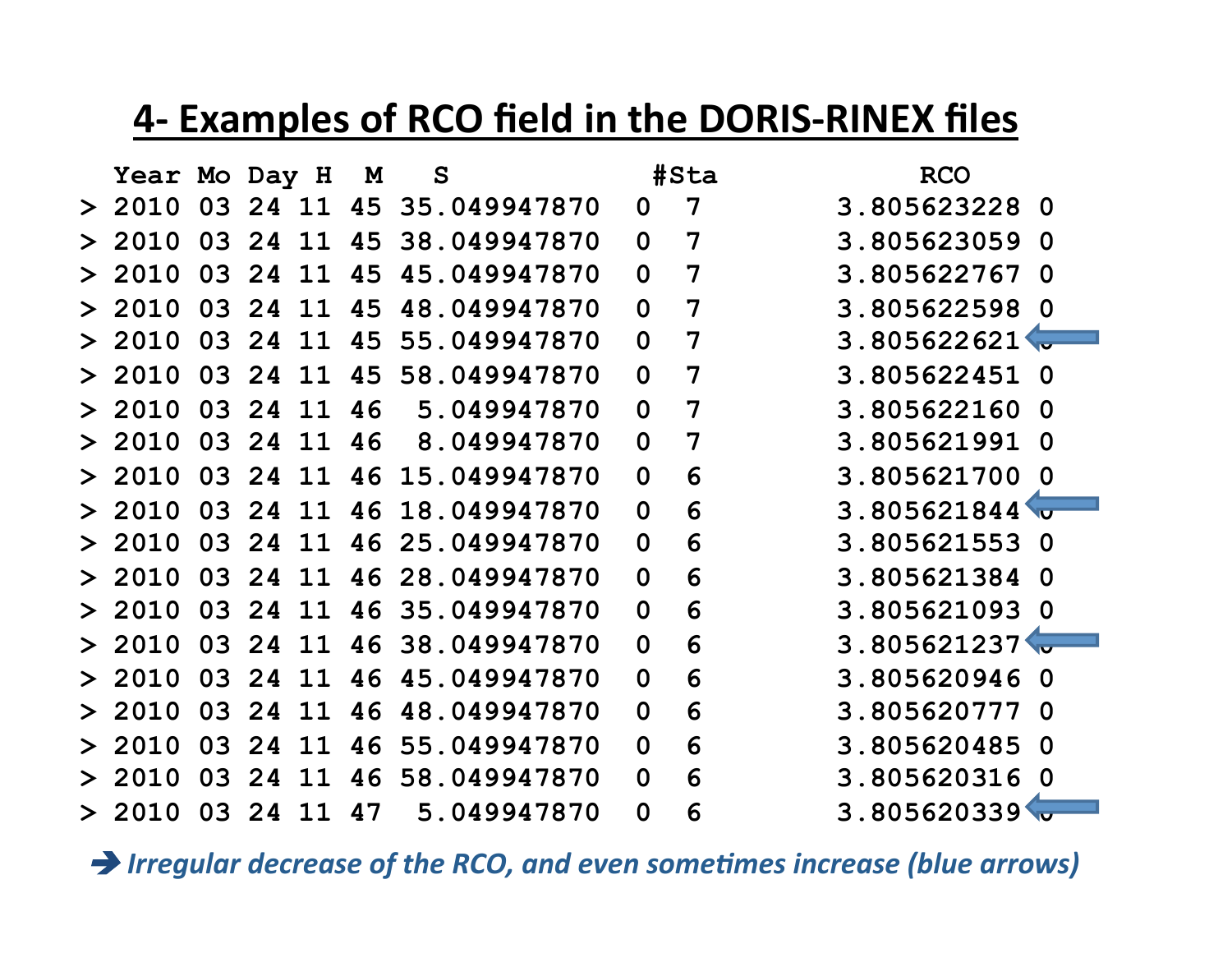#### **4- Examples of RCO field in the DORIS-RINEX files**

| Year Mo Day H |    |    |    | M  | $\mathbf S$  |              | #Sta | <b>RCO</b>                 |
|---------------|----|----|----|----|--------------|--------------|------|----------------------------|
| 2010          | 03 | 24 | 11 | 45 | 35.049947870 | 0            | 7    | 3.805623228<br>0           |
| 2010          | 03 | 24 | 11 | 45 | 38.049947870 | $\mathbf 0$  | 7    | 3.805623059<br>$\bf{0}$    |
| 2010          | 03 | 24 | 11 | 45 | 45.049947870 | $\mathbf 0$  | 7    | 3.805622767<br>$\Omega$    |
| 2010          | 03 | 24 | -1 | 45 | 48.049947870 | $\mathbf 0$  | 7    | 3.805622598<br>$\Omega$    |
| 2010          | 03 | 24 | 11 | 45 | 55.049947870 | $\mathbf 0$  | 7    | 3.805622621                |
| 2010          | 03 | 24 | 11 | 45 | 58.049947870 | $\mathbf 0$  | 7    | 3.805622451<br>$\Omega$    |
| 2010          | 03 | 24 | 11 | 46 | 5.049947870  | $\mathbf 0$  | 7    | 3.805622160<br>0           |
| 2010          | 03 | 24 | 11 | 46 | 8.049947870  | $\mathbf 0$  | 7    | 3.805621991<br>$\mathbf 0$ |
| 2010          | 03 | 24 | 11 | 46 | 15.049947870 | $\mathbf 0$  | 6    | 3.805621700<br>0           |
| 2010          | 03 | 24 | 11 | 46 | 18.049947870 | $\mathbf 0$  | 6    | 3.805621844                |
| 2010          | 03 | 24 | 11 | 46 | 25.049947870 | $\mathbf 0$  | 6    | 3.805621553<br>0           |
| 2010          | 03 | 24 | 11 | 46 | 28.049947870 | $\mathbf 0$  | 6    | 3.805621384<br>$\Omega$    |
| 2010          | 03 | 24 | 11 | 46 | 35.049947870 | $\mathbf 0$  | 6    | 3.805621093<br>$\Omega$    |
| 2010          | 03 | 24 | 11 | 46 | 38.049947870 | $\mathbf 0$  | 6    | 3.805621237                |
| 2010          | 03 | 24 | 11 | 46 | 45.049947870 | $\mathbf 0$  | 6    | 3.805620946<br>$\mathbf 0$ |
| 2010          | 03 | 24 | 11 | 46 | 48.049947870 | $\mathbf 0$  | 6    | 3.805620777<br>$\bf{0}$    |
| 2010          | 03 | 24 | 11 | 46 | 55.049947870 | $\mathbf 0$  | 6    | 3.805620485<br>$\Omega$    |
| 2010          | 03 | 24 | 11 | 46 | 58.049947870 | $\mathbf{0}$ | 6    | 3.805620316<br>0           |
| 2010          | 03 | 24 | 11 | 47 | 5.049947870  | $\mathbf 0$  | 6    | 3.805620339                |

 $\rightarrow$  Irregular decrease of the RCO, and even sometimes increase (blue arrows)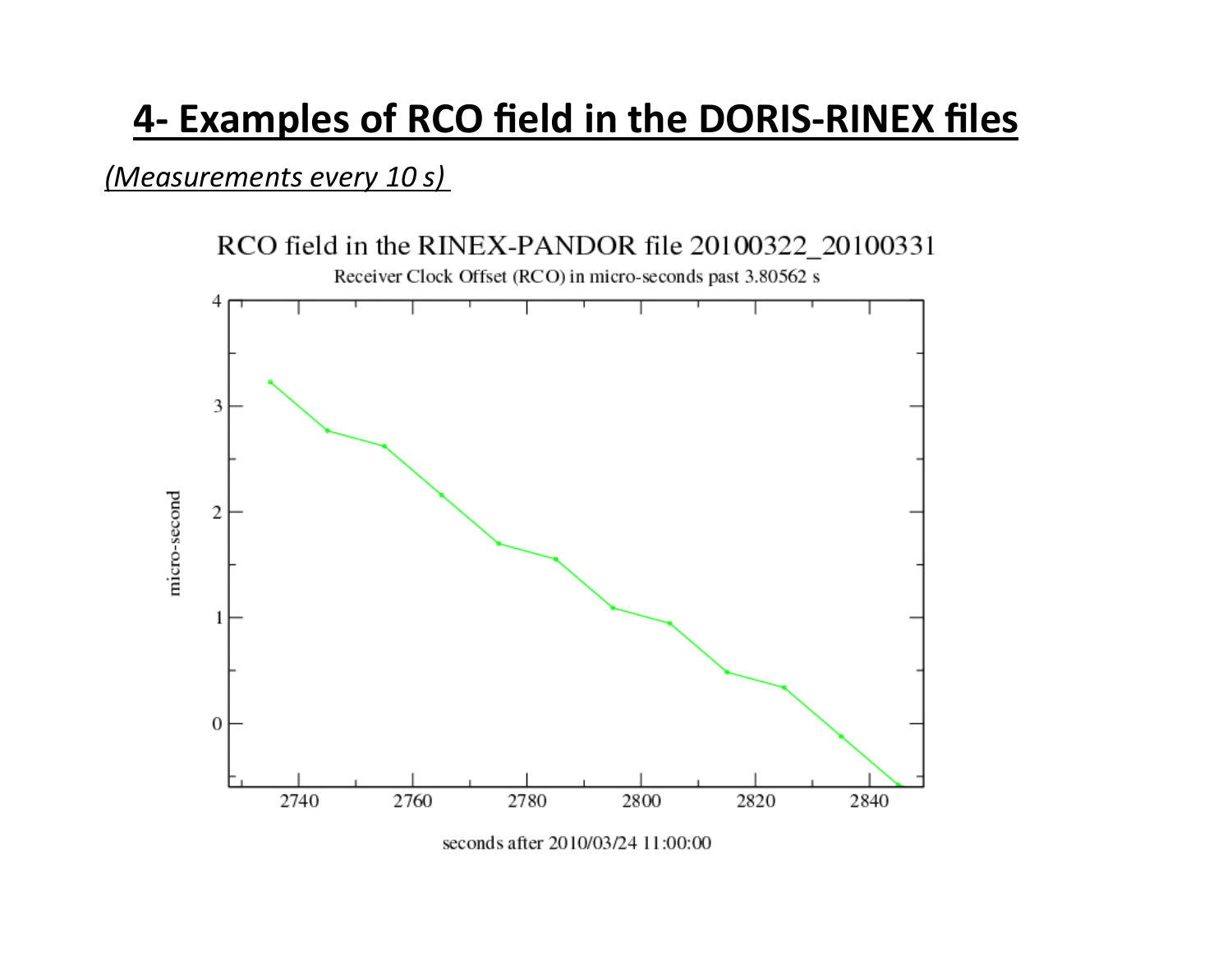# **4- Examples of RCO field in the DORIS-RINEX files**

#### *(Measurements every 10 s)*

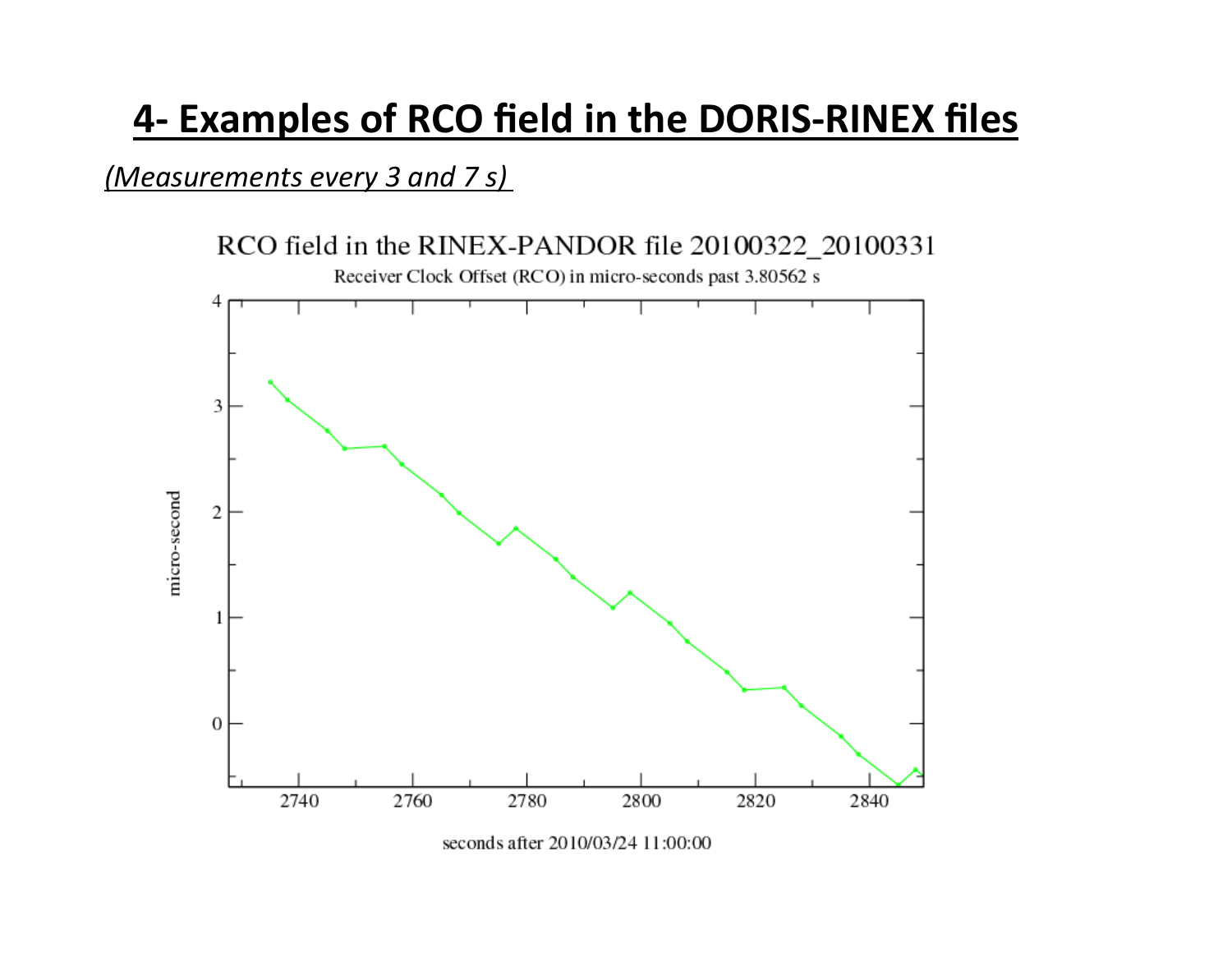# **4- Examples of RCO field in the DORIS-RINEX files**

#### *(Measurements every 3 and 7 s)*

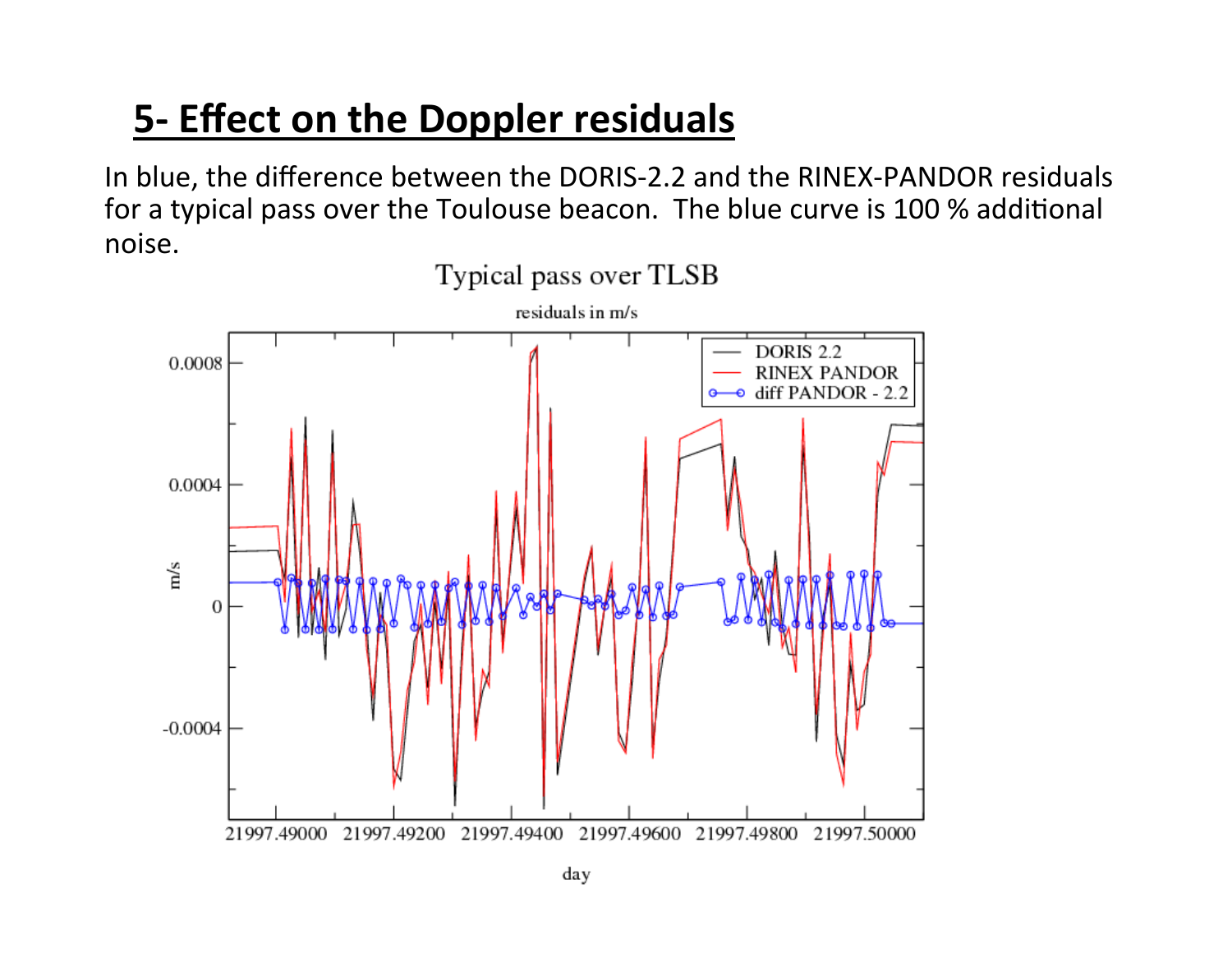# **5- Effect on the Doppler residuals**

In blue, the difference between the DORIS-2.2 and the RINEX-PANDOR residuals for a typical pass over the Toulouse beacon. The blue curve is 100 % additional noise.

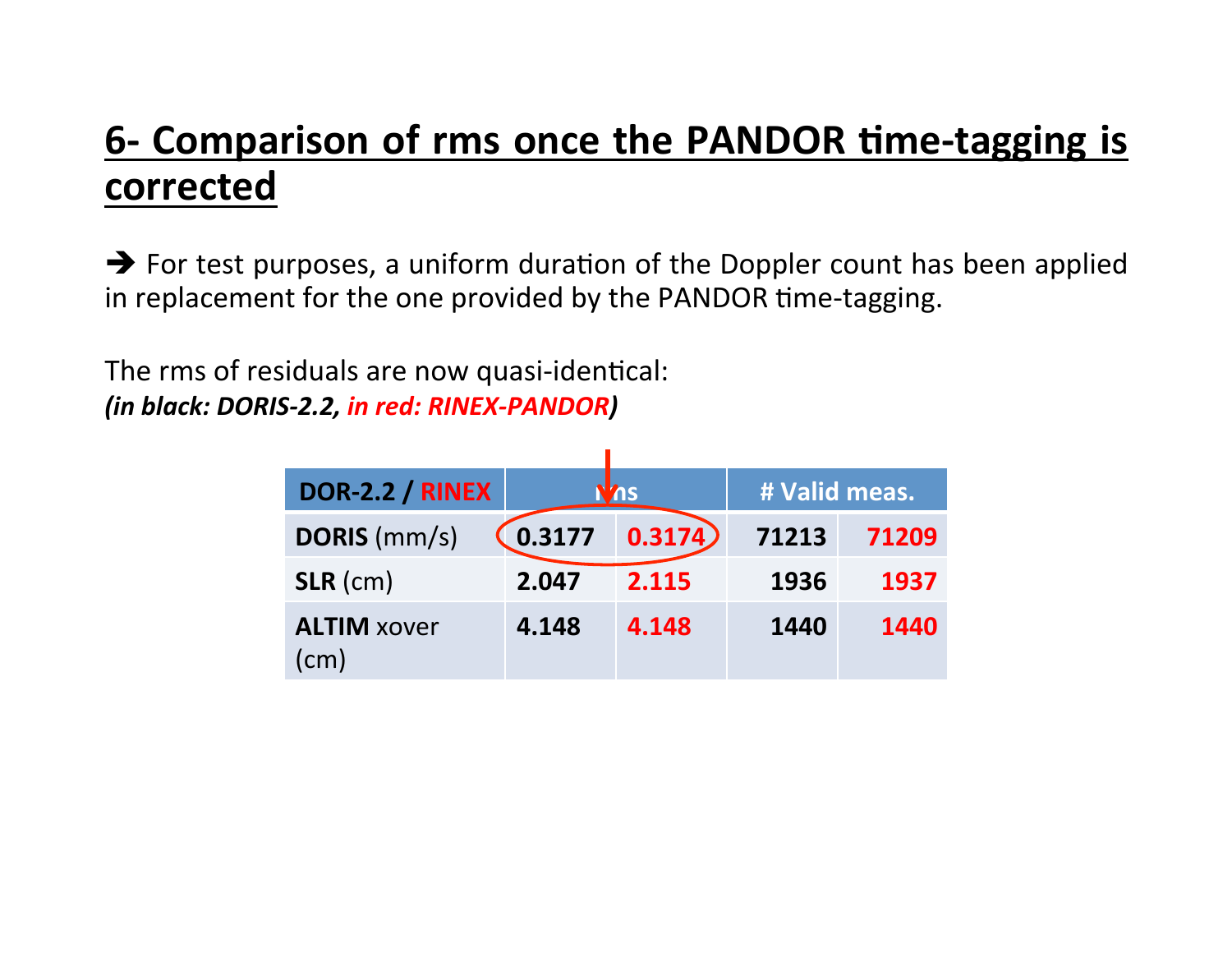## **6- Comparison of rms once the PANDOR time-tagging is corrected**

 $\rightarrow$  For test purposes, a uniform duration of the Doppler count has been applied in replacement for the one provided by the PANDOR time-tagging.

The rms of residuals are now quasi-identical: *(in black: DORIS-2.2, in red: RINEX-PANDOR)*

| <b>DOR-2.2 / RINEX</b>     |        | Vns     | # Valid meas. |       |  |
|----------------------------|--------|---------|---------------|-------|--|
| <b>DORIS</b> (mm/s)        | 0.3177 | 0.3174) | 71213         | 71209 |  |
| $SLR$ (cm)                 | 2.047  | 2.115   | 1936          | 1937  |  |
| <b>ALTIM xover</b><br>(cm) | 4.148  | 4.148   | 1440          | 1440  |  |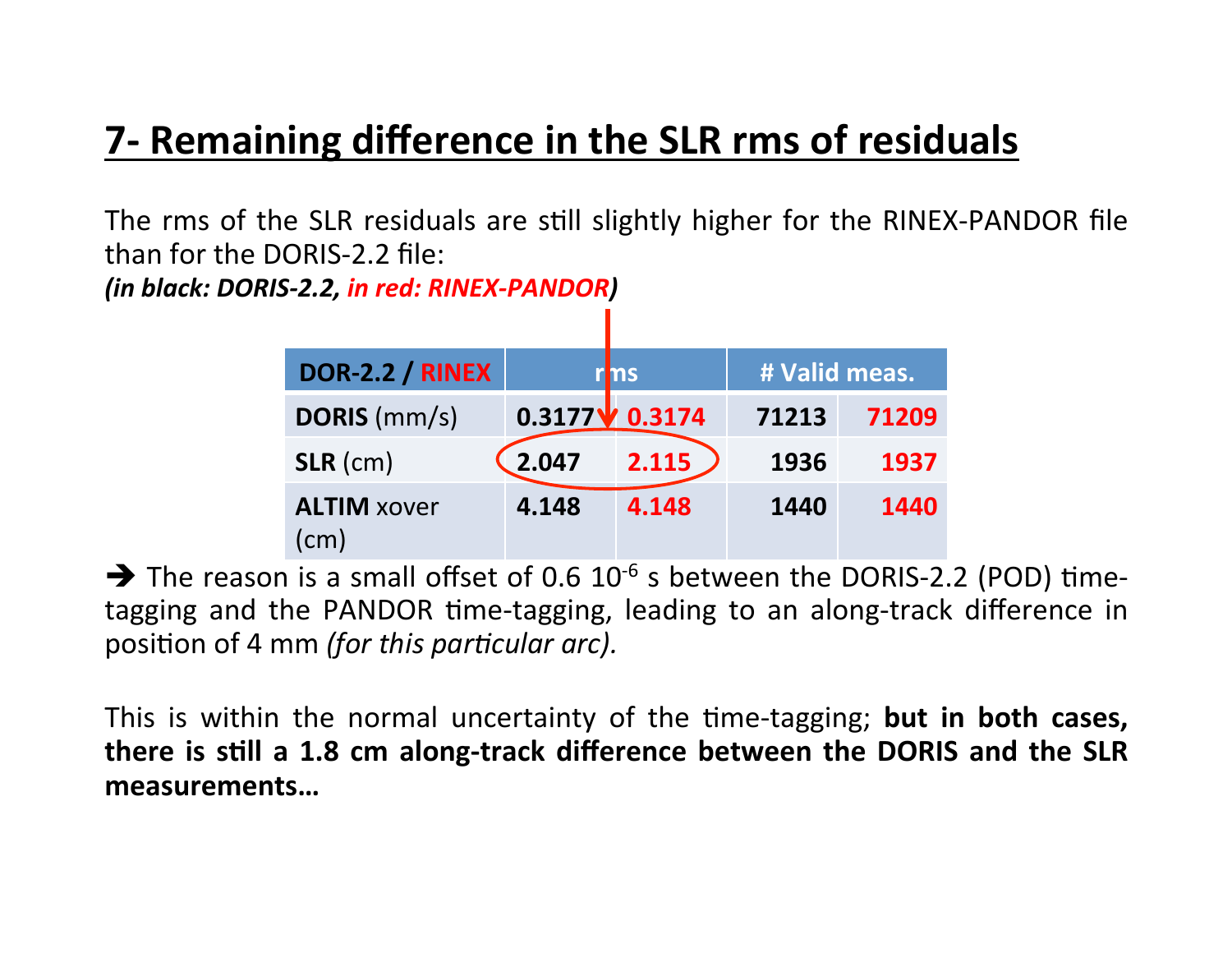## **7- Remaining difference in the SLR rms of residuals**

The rms of the SLR residuals are still slightly higher for the RINEX-PANDOR file than for the DORIS-2.2 file:

*(in black: DORIS-2.2, in red: RINEX-PANDOR)*

| <b>DOR-2.2 / RINEX</b>     |       | r ms                     | # Valid meas. |       |  |
|----------------------------|-------|--------------------------|---------------|-------|--|
| <b>DORIS</b> (mm/s)        |       | $0.3177$ $\sqrt{0.3174}$ | 71213         | 71209 |  |
| $SLR$ (cm)                 | 2.047 | 2.115                    | 1936          | 1937  |  |
| <b>ALTIM xover</b><br>(cm) | 4.148 | 4.148                    | 1440          | 1440  |  |

 $\rightarrow$  The reason is a small offset of 0.6 10<sup>-6</sup> s between the DORIS-2.2 (POD) timetagging and the PANDOR time-tagging, leading to an along-track difference in position of 4 mm (for this particular arc).

This is within the normal uncertainty of the time-tagging; but in both cases, there is still a 1.8 cm along-track difference between the DORIS and the SLR **measurements…**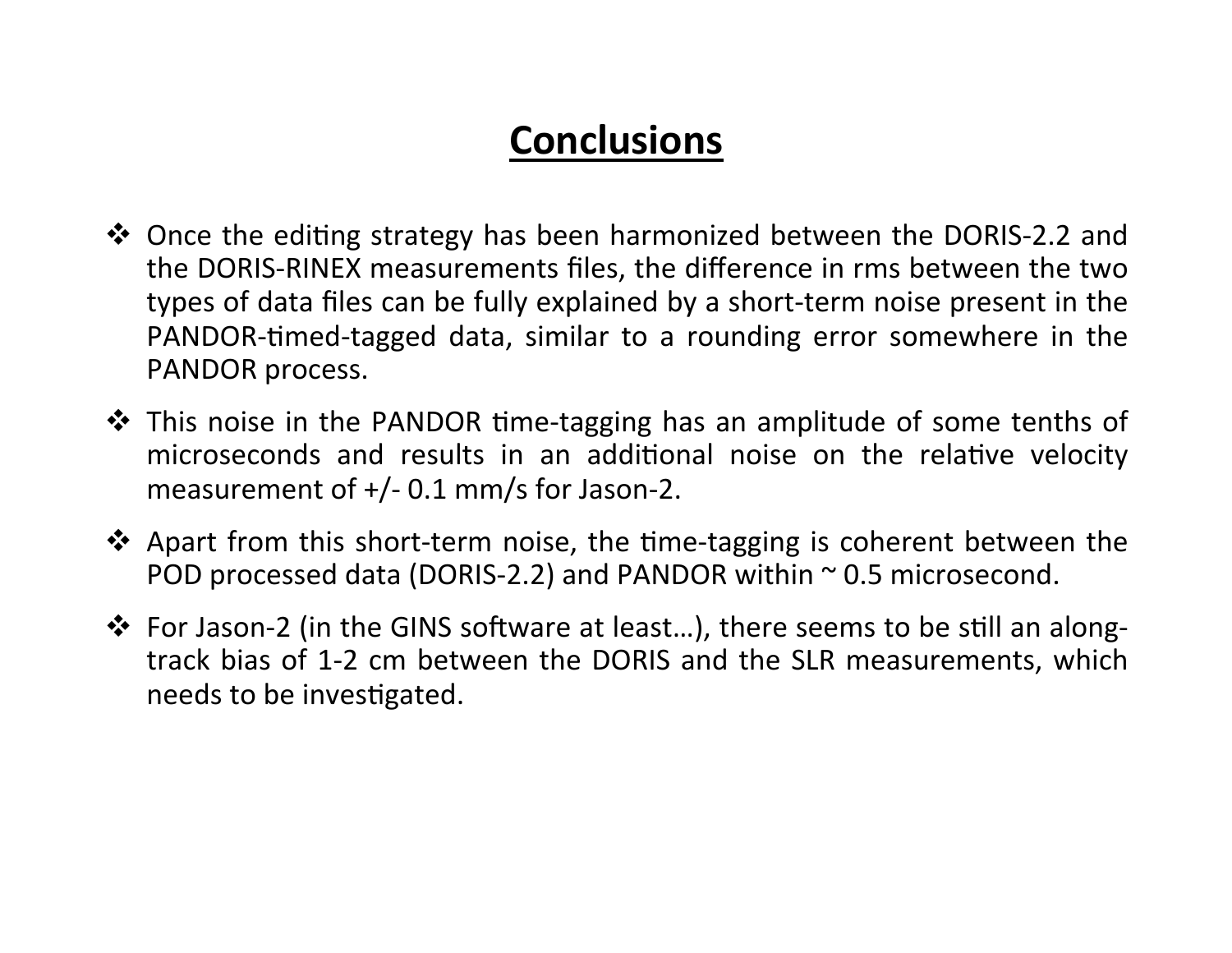#### **Conclusions**

- \* Once the editing strategy has been harmonized between the DORIS-2.2 and the DORIS-RINEX measurements files, the difference in rms between the two types of data files can be fully explained by a short-term noise present in the PANDOR-timed-tagged data, similar to a rounding error somewhere in the PANDOR process.
- ❖ This noise in the PANDOR time-tagging has an amplitude of some tenths of microseconds and results in an additional noise on the relative velocity measurement of  $+/-$  0.1 mm/s for Jason-2.
- ◆ Apart from this short-term noise, the time-tagging is coherent between the POD processed data (DORIS-2.2) and PANDOR within  $\sim$  0.5 microsecond.
- \* For Jason-2 (in the GINS software at least...), there seems to be still an alongtrack bias of 1-2 cm between the DORIS and the SLR measurements, which needs to be investigated.